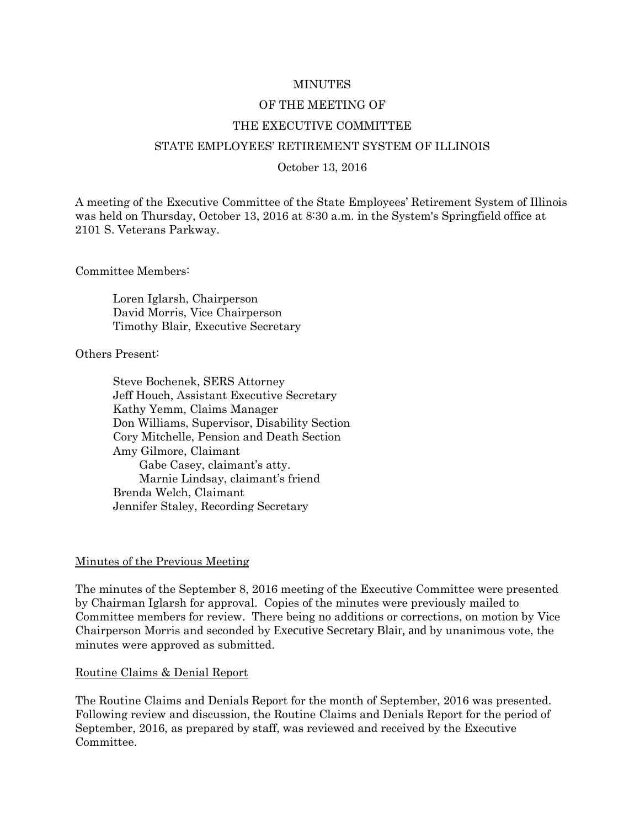#### MINUTES

#### OF THE MEETING OF

#### THE EXECUTIVE COMMITTEE

#### STATE EMPLOYEES' RETIREMENT SYSTEM OF ILLINOIS

#### October 13, 2016

A meeting of the Executive Committee of the State Employees' Retirement System of Illinois was held on Thursday, October 13, 2016 at 8:30 a.m. in the System's Springfield office at 2101 S. Veterans Parkway.

Committee Members:

Loren Iglarsh, Chairperson David Morris, Vice Chairperson Timothy Blair, Executive Secretary

Others Present:

Steve Bochenek, SERS Attorney Jeff Houch, Assistant Executive Secretary Kathy Yemm, Claims Manager Don Williams, Supervisor, Disability Section Cory Mitchelle, Pension and Death Section Amy Gilmore, Claimant Gabe Casey, claimant's atty. Marnie Lindsay, claimant's friend Brenda Welch, Claimant Jennifer Staley, Recording Secretary

#### Minutes of the Previous Meeting

The minutes of the September 8, 2016 meeting of the Executive Committee were presented by Chairman Iglarsh for approval. Copies of the minutes were previously mailed to Committee members for review. There being no additions or corrections, on motion by Vice Chairperson Morris and seconded by Executive Secretary Blair, and by unanimous vote, the minutes were approved as submitted.

#### Routine Claims & Denial Report

The Routine Claims and Denials Report for the month of September, 2016 was presented. Following review and discussion, the Routine Claims and Denials Report for the period of September, 2016, as prepared by staff, was reviewed and received by the Executive Committee.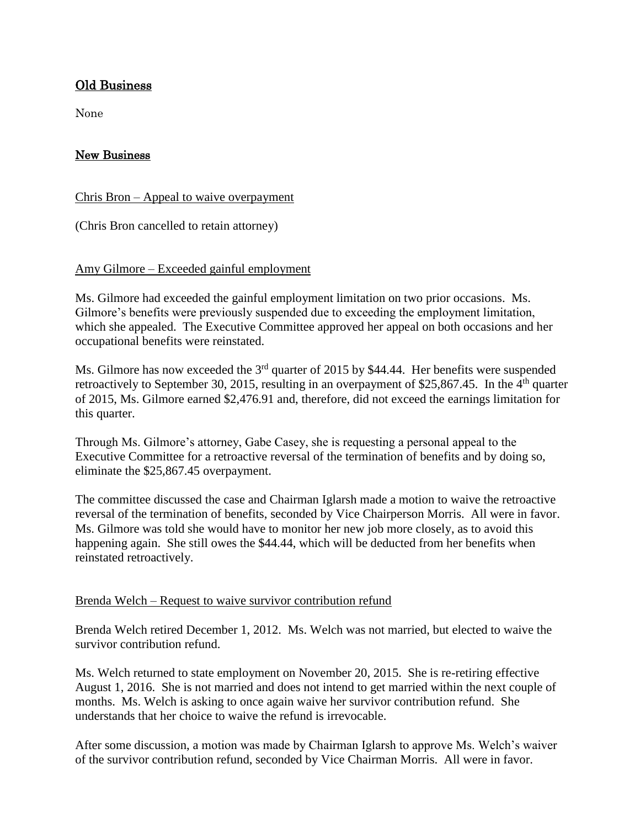# Old Business

None

# New Business

Chris Bron – Appeal to waive overpayment

(Chris Bron cancelled to retain attorney)

## Amy Gilmore – Exceeded gainful employment

Ms. Gilmore had exceeded the gainful employment limitation on two prior occasions. Ms. Gilmore's benefits were previously suspended due to exceeding the employment limitation, which she appealed. The Executive Committee approved her appeal on both occasions and her occupational benefits were reinstated.

Ms. Gilmore has now exceeded the 3<sup>rd</sup> quarter of 2015 by \$44.44. Her benefits were suspended retroactively to September 30, 2015, resulting in an overpayment of \$25,867.45. In the 4<sup>th</sup> quarter of 2015, Ms. Gilmore earned \$2,476.91 and, therefore, did not exceed the earnings limitation for this quarter.

Through Ms. Gilmore's attorney, Gabe Casey, she is requesting a personal appeal to the Executive Committee for a retroactive reversal of the termination of benefits and by doing so, eliminate the \$25,867.45 overpayment.

The committee discussed the case and Chairman Iglarsh made a motion to waive the retroactive reversal of the termination of benefits, seconded by Vice Chairperson Morris. All were in favor. Ms. Gilmore was told she would have to monitor her new job more closely, as to avoid this happening again. She still owes the \$44.44, which will be deducted from her benefits when reinstated retroactively.

# Brenda Welch – Request to waive survivor contribution refund

Brenda Welch retired December 1, 2012. Ms. Welch was not married, but elected to waive the survivor contribution refund.

Ms. Welch returned to state employment on November 20, 2015. She is re-retiring effective August 1, 2016. She is not married and does not intend to get married within the next couple of months. Ms. Welch is asking to once again waive her survivor contribution refund. She understands that her choice to waive the refund is irrevocable.

After some discussion, a motion was made by Chairman Iglarsh to approve Ms. Welch's waiver of the survivor contribution refund, seconded by Vice Chairman Morris. All were in favor.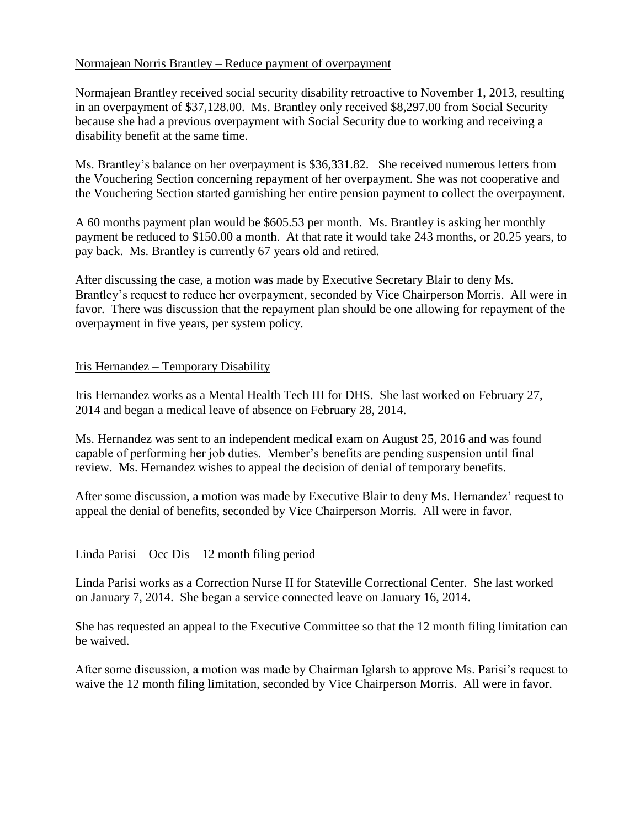# Normajean Norris Brantley – Reduce payment of overpayment

Normajean Brantley received social security disability retroactive to November 1, 2013, resulting in an overpayment of \$37,128.00. Ms. Brantley only received \$8,297.00 from Social Security because she had a previous overpayment with Social Security due to working and receiving a disability benefit at the same time.

Ms. Brantley's balance on her overpayment is \$36,331.82. She received numerous letters from the Vouchering Section concerning repayment of her overpayment. She was not cooperative and the Vouchering Section started garnishing her entire pension payment to collect the overpayment.

A 60 months payment plan would be \$605.53 per month. Ms. Brantley is asking her monthly payment be reduced to \$150.00 a month. At that rate it would take 243 months, or 20.25 years, to pay back. Ms. Brantley is currently 67 years old and retired.

After discussing the case, a motion was made by Executive Secretary Blair to deny Ms. Brantley's request to reduce her overpayment, seconded by Vice Chairperson Morris. All were in favor. There was discussion that the repayment plan should be one allowing for repayment of the overpayment in five years, per system policy.

## Iris Hernandez – Temporary Disability

Iris Hernandez works as a Mental Health Tech III for DHS. She last worked on February 27, 2014 and began a medical leave of absence on February 28, 2014.

Ms. Hernandez was sent to an independent medical exam on August 25, 2016 and was found capable of performing her job duties. Member's benefits are pending suspension until final review. Ms. Hernandez wishes to appeal the decision of denial of temporary benefits.

After some discussion, a motion was made by Executive Blair to deny Ms. Hernandez' request to appeal the denial of benefits, seconded by Vice Chairperson Morris. All were in favor.

## Linda Parisi – Occ Dis – 12 month filing period

Linda Parisi works as a Correction Nurse II for Stateville Correctional Center. She last worked on January 7, 2014. She began a service connected leave on January 16, 2014.

She has requested an appeal to the Executive Committee so that the 12 month filing limitation can be waived.

After some discussion, a motion was made by Chairman Iglarsh to approve Ms. Parisi's request to waive the 12 month filing limitation, seconded by Vice Chairperson Morris. All were in favor.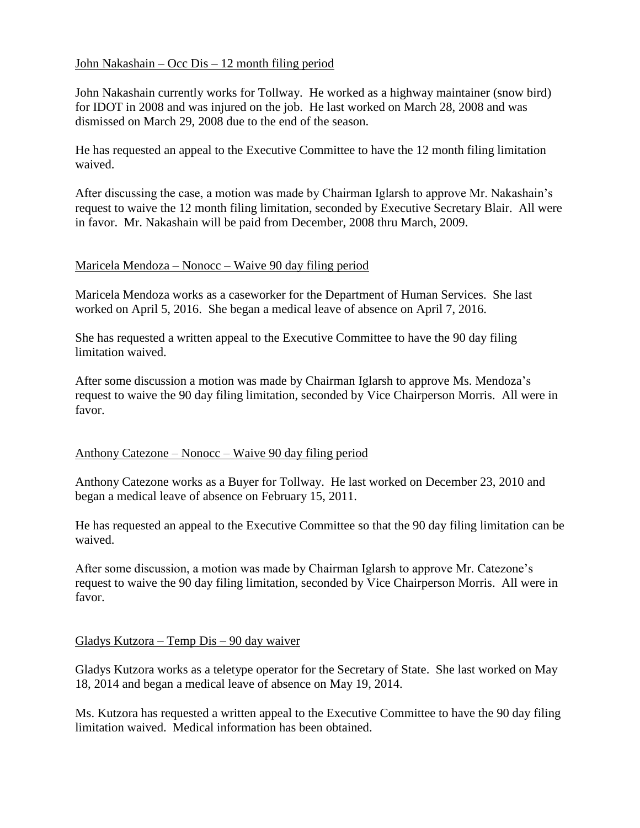# John Nakashain – Occ Dis – 12 month filing period

John Nakashain currently works for Tollway. He worked as a highway maintainer (snow bird) for IDOT in 2008 and was injured on the job. He last worked on March 28, 2008 and was dismissed on March 29, 2008 due to the end of the season.

He has requested an appeal to the Executive Committee to have the 12 month filing limitation waived.

After discussing the case, a motion was made by Chairman Iglarsh to approve Mr. Nakashain's request to waive the 12 month filing limitation, seconded by Executive Secretary Blair. All were in favor. Mr. Nakashain will be paid from December, 2008 thru March, 2009.

#### Maricela Mendoza – Nonocc – Waive 90 day filing period

Maricela Mendoza works as a caseworker for the Department of Human Services. She last worked on April 5, 2016. She began a medical leave of absence on April 7, 2016.

She has requested a written appeal to the Executive Committee to have the 90 day filing limitation waived.

After some discussion a motion was made by Chairman Iglarsh to approve Ms. Mendoza's request to waive the 90 day filing limitation, seconded by Vice Chairperson Morris. All were in favor.

## Anthony Catezone – Nonocc – Waive 90 day filing period

Anthony Catezone works as a Buyer for Tollway. He last worked on December 23, 2010 and began a medical leave of absence on February 15, 2011.

He has requested an appeal to the Executive Committee so that the 90 day filing limitation can be waived.

After some discussion, a motion was made by Chairman Iglarsh to approve Mr. Catezone's request to waive the 90 day filing limitation, seconded by Vice Chairperson Morris. All were in favor.

## Gladys Kutzora – Temp Dis – 90 day waiver

Gladys Kutzora works as a teletype operator for the Secretary of State. She last worked on May 18, 2014 and began a medical leave of absence on May 19, 2014.

Ms. Kutzora has requested a written appeal to the Executive Committee to have the 90 day filing limitation waived. Medical information has been obtained.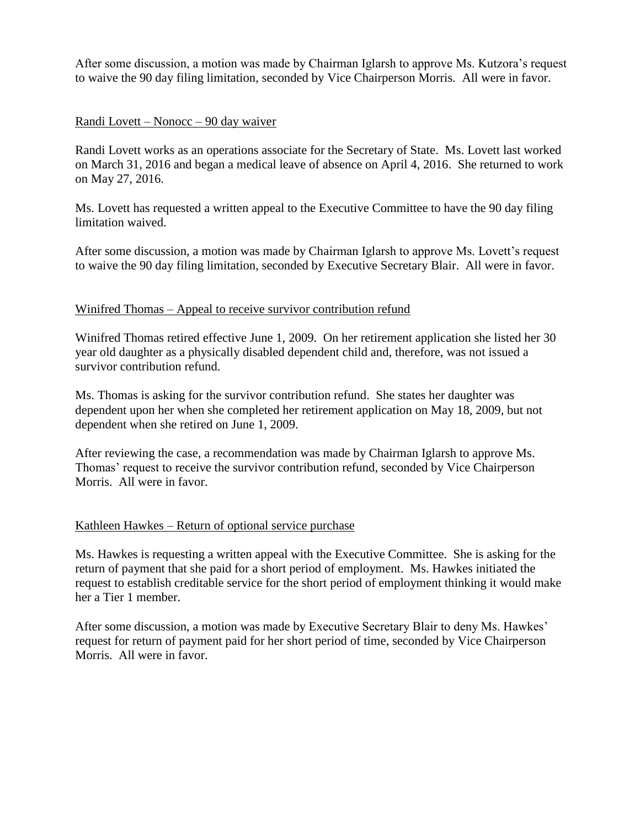After some discussion, a motion was made by Chairman Iglarsh to approve Ms. Kutzora's request to waive the 90 day filing limitation, seconded by Vice Chairperson Morris. All were in favor.

## Randi Lovett – Nonocc – 90 day waiver

Randi Lovett works as an operations associate for the Secretary of State. Ms. Lovett last worked on March 31, 2016 and began a medical leave of absence on April 4, 2016. She returned to work on May 27, 2016.

Ms. Lovett has requested a written appeal to the Executive Committee to have the 90 day filing limitation waived.

After some discussion, a motion was made by Chairman Iglarsh to approve Ms. Lovett's request to waive the 90 day filing limitation, seconded by Executive Secretary Blair. All were in favor.

## Winifred Thomas – Appeal to receive survivor contribution refund

Winifred Thomas retired effective June 1, 2009. On her retirement application she listed her 30 year old daughter as a physically disabled dependent child and, therefore, was not issued a survivor contribution refund.

Ms. Thomas is asking for the survivor contribution refund. She states her daughter was dependent upon her when she completed her retirement application on May 18, 2009, but not dependent when she retired on June 1, 2009.

After reviewing the case, a recommendation was made by Chairman Iglarsh to approve Ms. Thomas' request to receive the survivor contribution refund, seconded by Vice Chairperson Morris. All were in favor.

## Kathleen Hawkes – Return of optional service purchase

Ms. Hawkes is requesting a written appeal with the Executive Committee. She is asking for the return of payment that she paid for a short period of employment. Ms. Hawkes initiated the request to establish creditable service for the short period of employment thinking it would make her a Tier 1 member.

After some discussion, a motion was made by Executive Secretary Blair to deny Ms. Hawkes' request for return of payment paid for her short period of time, seconded by Vice Chairperson Morris. All were in favor.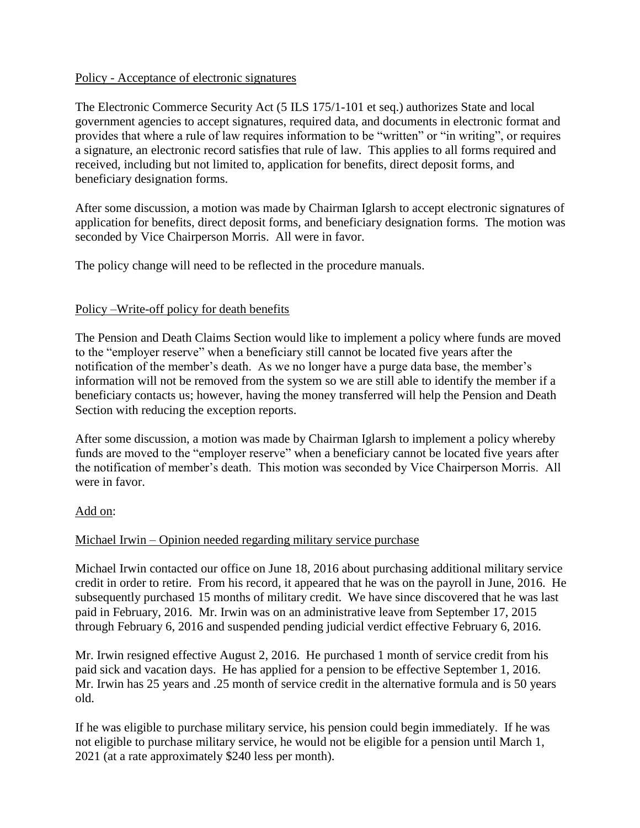## Policy - Acceptance of electronic signatures

The Electronic Commerce Security Act (5 ILS 175/1-101 et seq.) authorizes State and local government agencies to accept signatures, required data, and documents in electronic format and provides that where a rule of law requires information to be "written" or "in writing", or requires a signature, an electronic record satisfies that rule of law. This applies to all forms required and received, including but not limited to, application for benefits, direct deposit forms, and beneficiary designation forms.

After some discussion, a motion was made by Chairman Iglarsh to accept electronic signatures of application for benefits, direct deposit forms, and beneficiary designation forms. The motion was seconded by Vice Chairperson Morris. All were in favor.

The policy change will need to be reflected in the procedure manuals.

## Policy –Write-off policy for death benefits

The Pension and Death Claims Section would like to implement a policy where funds are moved to the "employer reserve" when a beneficiary still cannot be located five years after the notification of the member's death. As we no longer have a purge data base, the member's information will not be removed from the system so we are still able to identify the member if a beneficiary contacts us; however, having the money transferred will help the Pension and Death Section with reducing the exception reports.

After some discussion, a motion was made by Chairman Iglarsh to implement a policy whereby funds are moved to the "employer reserve" when a beneficiary cannot be located five years after the notification of member's death. This motion was seconded by Vice Chairperson Morris. All were in favor.

## Add on:

# Michael Irwin – Opinion needed regarding military service purchase

Michael Irwin contacted our office on June 18, 2016 about purchasing additional military service credit in order to retire. From his record, it appeared that he was on the payroll in June, 2016. He subsequently purchased 15 months of military credit. We have since discovered that he was last paid in February, 2016. Mr. Irwin was on an administrative leave from September 17, 2015 through February 6, 2016 and suspended pending judicial verdict effective February 6, 2016.

Mr. Irwin resigned effective August 2, 2016. He purchased 1 month of service credit from his paid sick and vacation days. He has applied for a pension to be effective September 1, 2016. Mr. Irwin has 25 years and .25 month of service credit in the alternative formula and is 50 years old.

If he was eligible to purchase military service, his pension could begin immediately. If he was not eligible to purchase military service, he would not be eligible for a pension until March 1, 2021 (at a rate approximately \$240 less per month).